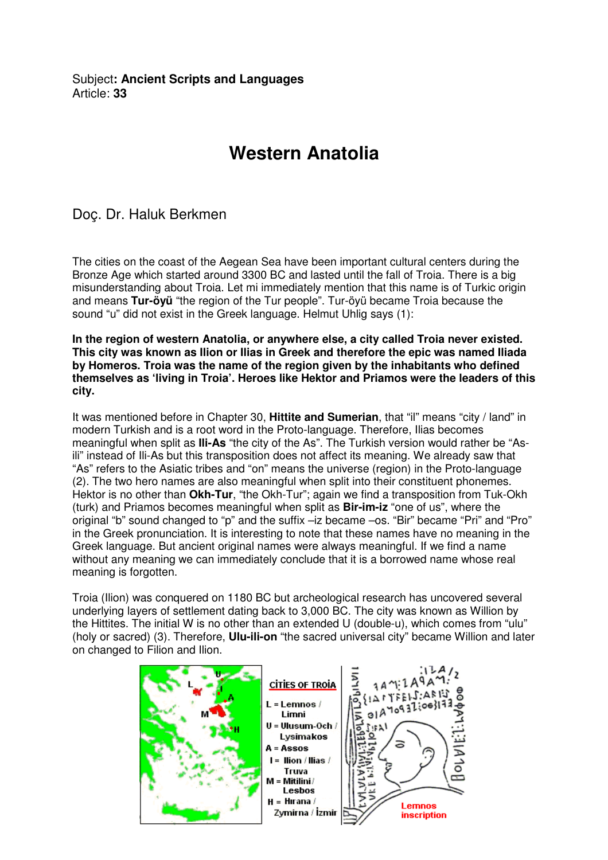Subject**: Ancient Scripts and Languages**  Article: **33**

## **Western Anatolia**

Doç. Dr. Haluk Berkmen

The cities on the coast of the Aegean Sea have been important cultural centers during the Bronze Age which started around 3300 BC and lasted until the fall of Troia. There is a big misunderstanding about Troia. Let mi immediately mention that this name is of Turkic origin and means **Tur-öyü** "the region of the Tur people". Tur-öyü became Troia because the sound "u" did not exist in the Greek language. Helmut Uhlig says (1):

**In the region of western Anatolia, or anywhere else, a city called Troia never existed. This city was known as Ilion or Ilias in Greek and therefore the epic was named Iliada by Homeros. Troia was the name of the region given by the inhabitants who defined themselves as 'living in Troia'. Heroes like Hektor and Priamos were the leaders of this city.**

It was mentioned before in Chapter 30, **Hittite and Sumerian**, that "il" means "city / land" in modern Turkish and is a root word in the Proto-language. Therefore, Ilias becomes meaningful when split as **Ili-As** "the city of the As". The Turkish version would rather be "Asili" instead of Ili-As but this transposition does not affect its meaning. We already saw that "As" refers to the Asiatic tribes and "on" means the universe (region) in the Proto-language (2). The two hero names are also meaningful when split into their constituent phonemes. Hektor is no other than **Okh-Tur**, "the Okh-Tur"; again we find a transposition from Tuk-Okh (turk) and Priamos becomes meaningful when split as **Bir-im-iz** "one of us", where the original "b" sound changed to "p" and the suffix –iz became –os. "Bir" became "Pri" and "Pro" in the Greek pronunciation. It is interesting to note that these names have no meaning in the Greek language. But ancient original names were always meaningful. If we find a name without any meaning we can immediately conclude that it is a borrowed name whose real meaning is forgotten.

Troia (Ilion) was conquered on 1180 BC but archeological research has uncovered several underlying layers of settlement dating back to 3,000 BC. The city was known as Willion by the Hittites. The initial W is no other than an extended U (double-u), which comes from "ulu" (holy or sacred) (3). Therefore, **Ulu-ili-on** "the sacred universal city" became Willion and later on changed to Filion and Ilion.

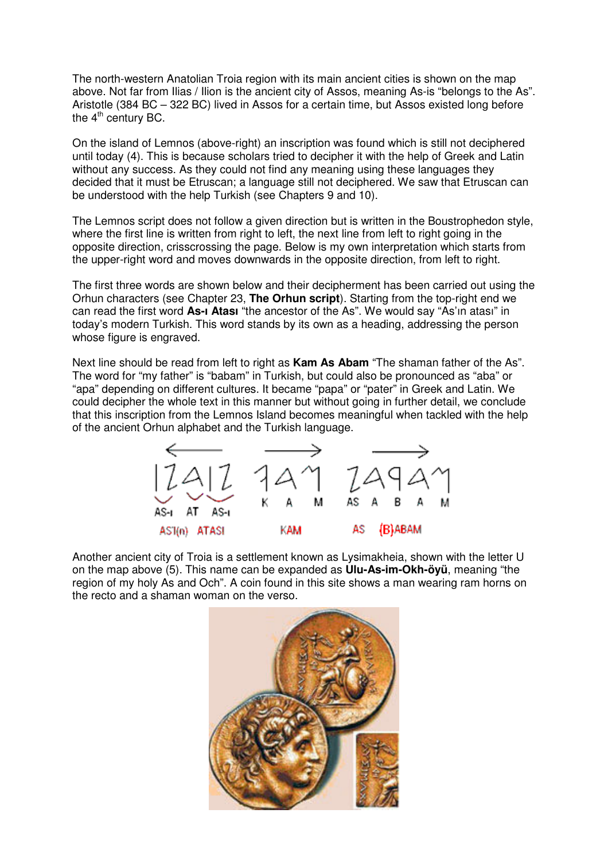The north-western Anatolian Troia region with its main ancient cities is shown on the map above. Not far from Ilias / Ilion is the ancient city of Assos, meaning As-is "belongs to the As". Aristotle (384 BC – 322 BC) lived in Assos for a certain time, but Assos existed long before the  $4<sup>th</sup>$  century BC.

On the island of Lemnos (above-right) an inscription was found which is still not deciphered until today (4). This is because scholars tried to decipher it with the help of Greek and Latin without any success. As they could not find any meaning using these languages they decided that it must be Etruscan; a language still not deciphered. We saw that Etruscan can be understood with the help Turkish (see Chapters 9 and 10).

The Lemnos script does not follow a given direction but is written in the Boustrophedon style, where the first line is written from right to left, the next line from left to right going in the opposite direction, crisscrossing the page. Below is my own interpretation which starts from the upper-right word and moves downwards in the opposite direction, from left to right.

The first three words are shown below and their decipherment has been carried out using the Orhun characters (see Chapter 23, **The Orhun script**). Starting from the top-right end we can read the first word **As-ı Atası** "the ancestor of the As". We would say "As'ın atası" in today's modern Turkish. This word stands by its own as a heading, addressing the person whose figure is engraved.

Next line should be read from left to right as **Kam As Abam** "The shaman father of the As". The word for "my father" is "babam" in Turkish, but could also be pronounced as "aba" or "apa" depending on different cultures. It became "papa" or "pater" in Greek and Latin. We could decipher the whole text in this manner but without going in further detail, we conclude that this inscription from the Lemnos Island becomes meaningful when tackled with the help of the ancient Orhun alphabet and the Turkish language.



Another ancient city of Troia is a settlement known as Lysimakheia, shown with the letter U on the map above (5). This name can be expanded as **Ulu-As-im-Okh-öyü**, meaning "the region of my holy As and Och". A coin found in this site shows a man wearing ram horns on the recto and a shaman woman on the verso.